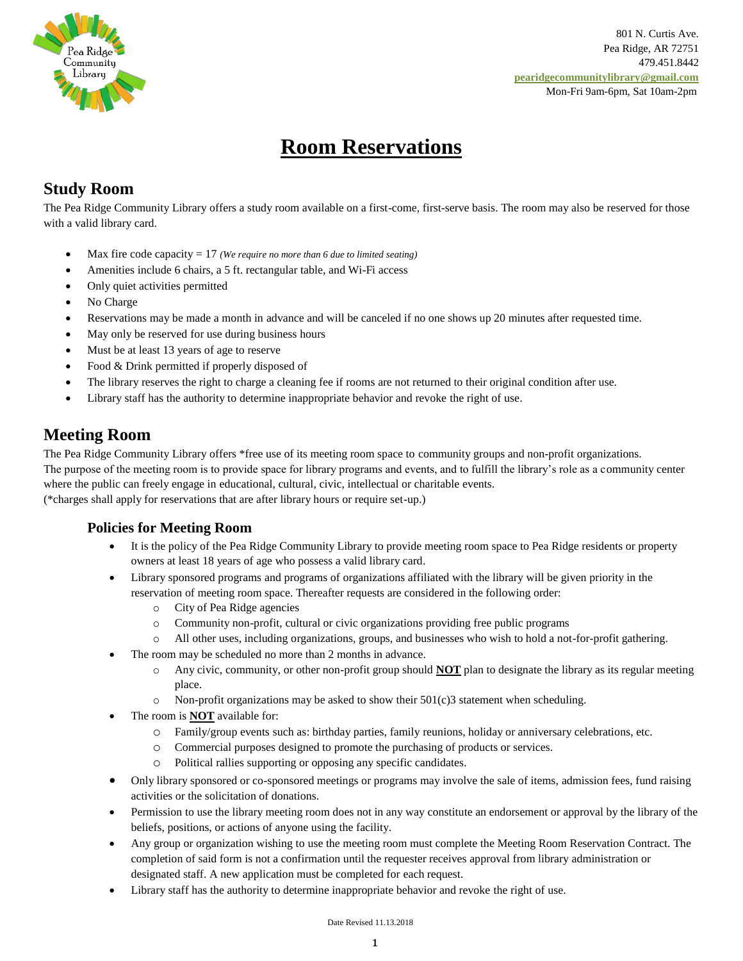

 801 N. Curtis Ave. Pea Ridge, AR 72751 479.451.8442  **[pearidgecommunitylibrary@gmail.com](mailto:pearidgecommunitylibrary@gmail.com)** Mon-Fri 9am-6pm, Sat 10am-2pm

# **Room Reservations**

## **Study Room**

The Pea Ridge Community Library offers a study room available on a first-come, first-serve basis. The room may also be reserved for those with a valid library card.

- Max fire code capacity = 17 *(We require no more than 6 due to limited seating)*
- Amenities include 6 chairs, a 5 ft. rectangular table, and Wi-Fi access
- Only quiet activities permitted
- No Charge
- Reservations may be made a month in advance and will be canceled if no one shows up 20 minutes after requested time.
- May only be reserved for use during business hours
- Must be at least 13 years of age to reserve
- Food & Drink permitted if properly disposed of
- The library reserves the right to charge a cleaning fee if rooms are not returned to their original condition after use.
- Library staff has the authority to determine inappropriate behavior and revoke the right of use.

## **Meeting Room**

The Pea Ridge Community Library offers \*free use of its meeting room space to community groups and non-profit organizations. The purpose of the meeting room is to provide space for library programs and events, and to fulfill the library's role as a community center where the public can freely engage in educational, cultural, civic, intellectual or charitable events.

(\*charges shall apply for reservations that are after library hours or require set-up.)

### **Policies for Meeting Room**

- It is the policy of the Pea Ridge Community Library to provide meeting room space to Pea Ridge residents or property owners at least 18 years of age who possess a valid library card.
- Library sponsored programs and programs of organizations affiliated with the library will be given priority in the reservation of meeting room space. Thereafter requests are considered in the following order:
	- o City of Pea Ridge agencies
	- o Community non-profit, cultural or civic organizations providing free public programs
- o All other uses, including organizations, groups, and businesses who wish to hold a not-for-profit gathering.
- The room may be scheduled no more than 2 months in advance.
	- o Any civic, community, or other non-profit group should **NOT** plan to designate the library as its regular meeting place.
	- $\circ$  Non-profit organizations may be asked to show their 501(c)3 statement when scheduling.
- The room is **NOT** available for:
	- o Family/group events such as: birthday parties, family reunions, holiday or anniversary celebrations, etc.
	- o Commercial purposes designed to promote the purchasing of products or services.
	- o Political rallies supporting or opposing any specific candidates.
- Only library sponsored or co-sponsored meetings or programs may involve the sale of items, admission fees, fund raising activities or the solicitation of donations.
- Permission to use the library meeting room does not in any way constitute an endorsement or approval by the library of the beliefs, positions, or actions of anyone using the facility.
- Any group or organization wishing to use the meeting room must complete the Meeting Room Reservation Contract. The completion of said form is not a confirmation until the requester receives approval from library administration or designated staff. A new application must be completed for each request.
- Library staff has the authority to determine inappropriate behavior and revoke the right of use.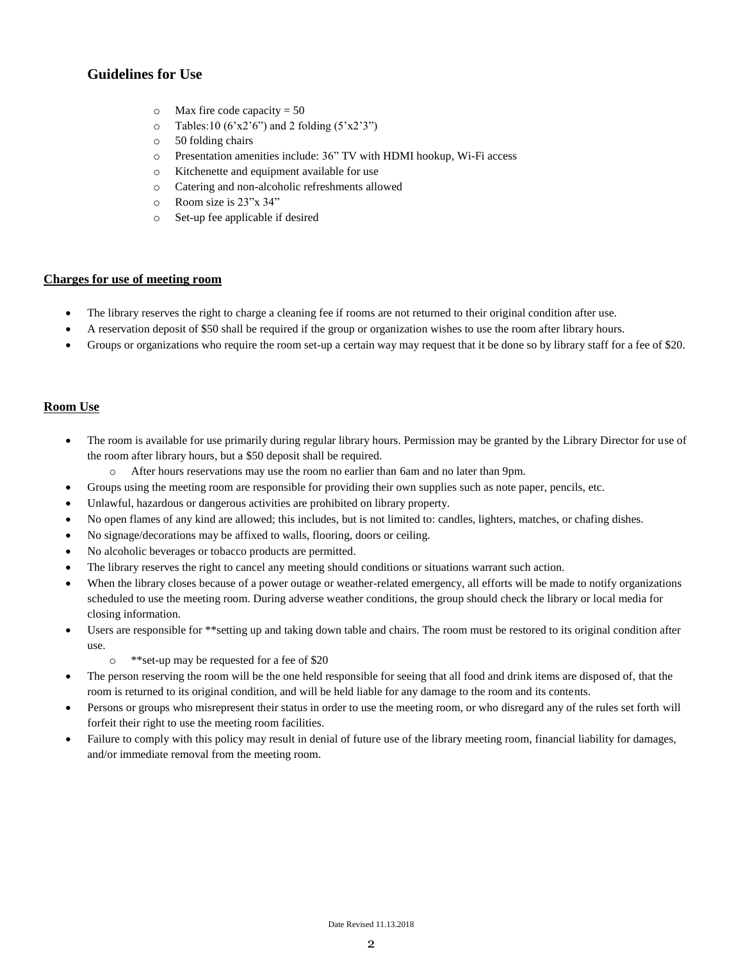### **Guidelines for Use**

- $\circ$  Max fire code capacity = 50
- $\circ$  Tables:10 (6'x2'6") and 2 folding (5'x2'3")
- o 50 folding chairs
- o Presentation amenities include: 36" TV with HDMI hookup, Wi-Fi access
- o Kitchenette and equipment available for use
- o Catering and non-alcoholic refreshments allowed
- o Room size is 23"x 34"
- o Set-up fee applicable if desired

#### **Charges for use of meeting room**

- The library reserves the right to charge a cleaning fee if rooms are not returned to their original condition after use.
- A reservation deposit of \$50 shall be required if the group or organization wishes to use the room after library hours.
- Groups or organizations who require the room set-up a certain way may request that it be done so by library staff for a fee of \$20.

#### **Room Use**

- The room is available for use primarily during regular library hours. Permission may be granted by the Library Director for use of the room after library hours, but a \$50 deposit shall be required.
	- o After hours reservations may use the room no earlier than 6am and no later than 9pm.
- Groups using the meeting room are responsible for providing their own supplies such as note paper, pencils, etc.
- Unlawful, hazardous or dangerous activities are prohibited on library property.
- No open flames of any kind are allowed; this includes, but is not limited to: candles, lighters, matches, or chafing dishes.
- No signage/decorations may be affixed to walls, flooring, doors or ceiling.
- No alcoholic beverages or tobacco products are permitted.
- The library reserves the right to cancel any meeting should conditions or situations warrant such action.
- When the library closes because of a power outage or weather-related emergency, all efforts will be made to notify organizations scheduled to use the meeting room. During adverse weather conditions, the group should check the library or local media for closing information.
- Users are responsible for \*\*setting up and taking down table and chairs. The room must be restored to its original condition after use.
	- o \*\*set-up may be requested for a fee of \$20
- The person reserving the room will be the one held responsible for seeing that all food and drink items are disposed of, that the room is returned to its original condition, and will be held liable for any damage to the room and its contents.
- Persons or groups who misrepresent their status in order to use the meeting room, or who disregard any of the rules set forth will forfeit their right to use the meeting room facilities.
- Failure to comply with this policy may result in denial of future use of the library meeting room, financial liability for damages, and/or immediate removal from the meeting room.